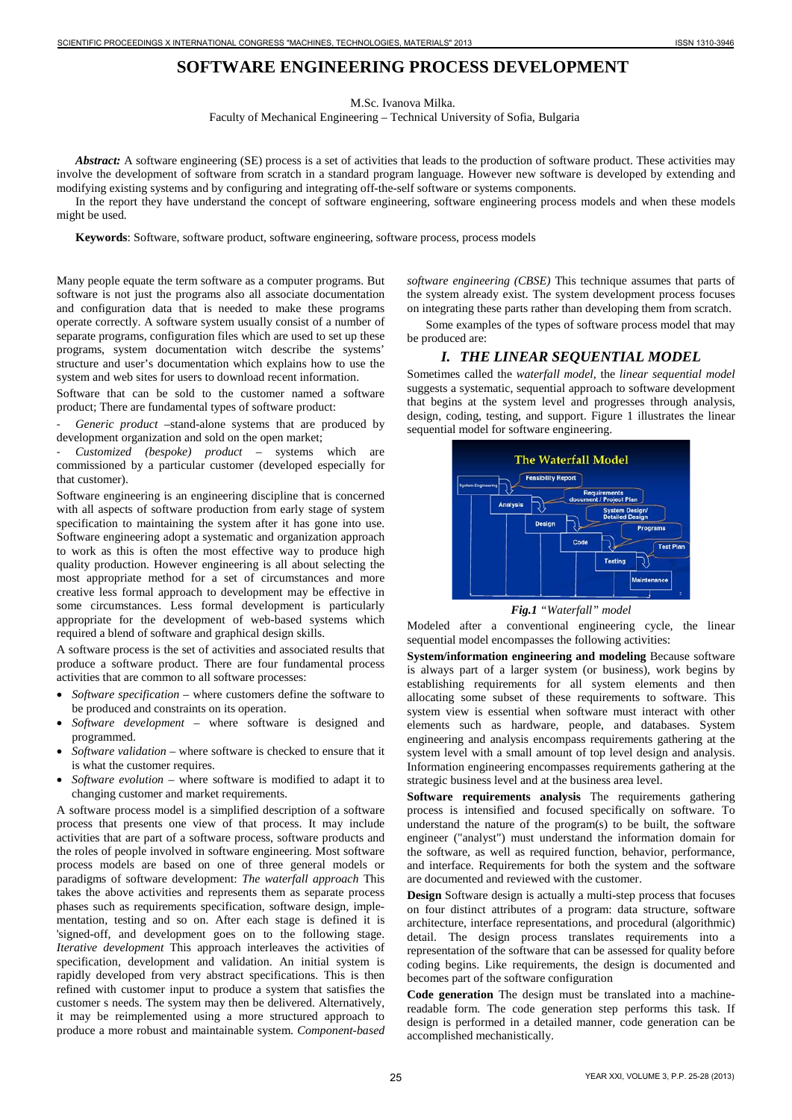# **SOFTWARE ENGINEERING PROCESS DEVELOPMENT**

M.Sc. Ivanova Milka.

Faculty of Mechanical Engineering – Technical University of Sofia, Bulgaria

*Abstract:* A software engineering (SE) process is a set of activities that leads to the production of software product. These activities may involve the development of software from scratch in a standard program language. However new software is developed by extending and modifying existing systems and by configuring and integrating off-the-self software or systems components.

In the report they have understand the concept of software engineering, software engineering process models and when these models might be used*.* 

**Keywords**: Software, software product, software engineering, software process, process models

Many people equate the term software as a computer programs. But software is not just the programs also all associate documentation and configuration data that is needed to make these programs operate correctly. A software system usually consist of a number of separate programs, configuration files which are used to set up these programs, system documentation witch describe the systems' structure and user's documentation which explains how to use the system and web sites for users to download recent information.

Software that can be sold to the customer named a software product; There are fundamental types of software product:

Generic product -stand-alone systems that are produced by development organization and sold on the open market;

- *Customized (bespoke) product* – systems which are commissioned by a particular customer (developed especially for that customer).

Software engineering is an engineering discipline that is concerned with all aspects of software production from early stage of system specification to maintaining the system after it has gone into use. Software engineering adopt a systematic and organization approach to work as this is often the most effective way to produce high quality production. However engineering is all about selecting the most appropriate method for a set of circumstances and more creative less formal approach to development may be effective in some circumstances. Less formal development is particularly appropriate for the development of web-based systems which required a blend of software and graphical design skills.

A software process is the set of activities and associated results that produce a software product. There are four fundamental process activities that are common to all software processes:

- *Software specification* where customers define the software to be produced and constraints on its operation.
- *Software development* where software is designed and programmed.
- *Software validation* where software is checked to ensure that it is what the customer requires.
- *Software evolution* where software is modified to adapt it to changing customer and market requirements.

A software process model is a simplified description of a software process that presents one view of that process. It may include activities that are part of a software process, software products and the roles of people involved in software engineering. Most software process models are based on one of three general models or paradigms of software development: *The waterfall approach* This takes the above activities and represents them as separate process phases such as requirements specification, software design, implementation, testing and so on. After each stage is defined it is 'signed-off, and development goes on to the following stage. *Iterative development* This approach interleaves the activities of specification, development and validation. An initial system is rapidly developed from very abstract specifications. This is then refined with customer input to produce a system that satisfies the customer s needs. The system may then be delivered. Alternatively, it may be reimplemented using a more structured approach to produce a more robust and maintainable system. *Component-based*  *software engineering (CBSE)* This technique assumes that parts of the system already exist. The system development process focuses on integrating these parts rather than developing them from scratch.

Some examples of the types of software process model that may be produced are:

### *I. THE LINEAR SEQUENTIAL MODEL*

Sometimes called the *waterfall model,* the *linear sequential model*  suggests a systematic, sequential approach to software development that begins at the system level and progresses through analysis, design, coding, testing, and support. Figure 1 illustrates the linear sequential model for software engineering.



*Fig.1 "Waterfall" model*

Modeled after a conventional engineering cycle, the linear sequential model encompasses the following activities:

**System/information engineering and modeling** Because software is always part of a larger system (or business), work begins by establishing requirements for all system elements and then allocating some subset of these requirements to software. This system view is essential when software must interact with other elements such as hardware, people, and databases. System engineering and analysis encompass requirements gathering at the system level with a small amount of top level design and analysis. Information engineering encompasses requirements gathering at the strategic business level and at the business area level.

**Software requirements analysis** The requirements gathering process is intensified and focused specifically on software. To understand the nature of the program(s) to be built, the software engineer ("analyst") must understand the information domain for the software, as well as required function, behavior, performance, and interface. Requirements for both the system and the software are documented and reviewed with the customer.

**Design** Software design is actually a multi-step process that focuses on four distinct attributes of a program: data structure, software architecture, interface representations, and procedural (algorithmic) detail. The design process translates requirements into a representation of the software that can be assessed for quality before coding begins. Like requirements, the design is documented and becomes part of the software configuration

**Code generation** The design must be translated into a machinereadable form. The code generation step performs this task. If design is performed in a detailed manner, code generation can be accomplished mechanistically.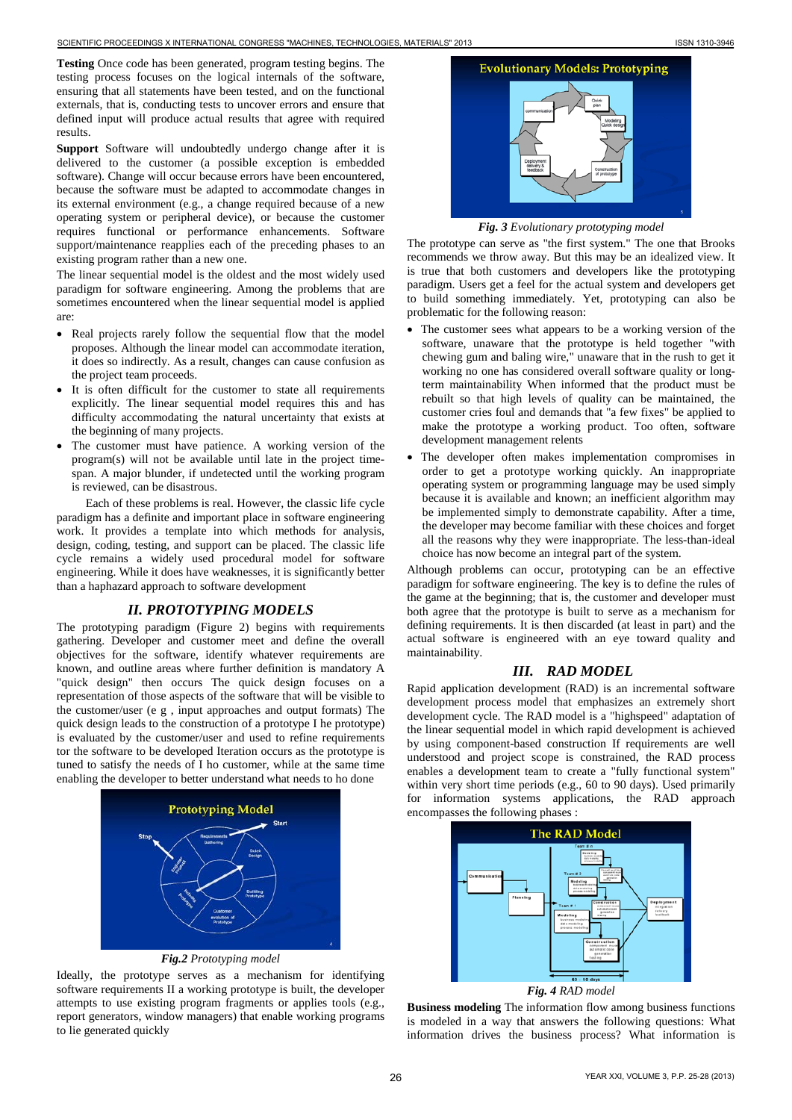**Testing** Once code has been generated, program testing begins. The testing process focuses on the logical internals of the software, ensuring that all statements have been tested, and on the functional externals, that is, conducting tests to uncover errors and ensure that defined input will produce actual results that agree with required results.

**Support** Software will undoubtedly undergo change after it is delivered to the customer (a possible exception is embedded software). Change will occur because errors have been encountered, because the software must be adapted to accommodate changes in its external environment (e.g., a change required because of a new operating system or peripheral device), or because the customer requires functional or performance enhancements. Software support/maintenance reapplies each of the preceding phases to an existing program rather than a new one.

The linear sequential model is the oldest and the most widely used paradigm for software engineering. Among the problems that are sometimes encountered when the linear sequential model is applied are:

- Real projects rarely follow the sequential flow that the model proposes. Although the linear model can accommodate iteration, it does so indirectly. As a result, changes can cause confusion as the project team proceeds.
- It is often difficult for the customer to state all requirements explicitly. The linear sequential model requires this and has difficulty accommodating the natural uncertainty that exists at the beginning of many projects.
- The customer must have patience. A working version of the program(s) will not be available until late in the project timespan. A major blunder, if undetected until the working program is reviewed, can be disastrous.

Each of these problems is real. However, the classic life cycle paradigm has a definite and important place in software engineering work. It provides a template into which methods for analysis, design, coding, testing, and support can be placed. The classic life cycle remains a widely used procedural model for software engineering. While it does have weaknesses, it is significantly better than a haphazard approach to software development

### *II. PROTOTYPING MODELS*

The prototyping paradigm (Figure 2) begins with requirements gathering. Developer and customer meet and define the overall objectives for the software, identify whatever requirements are known, and outline areas where further definition is mandatory A "quick design" then occurs The quick design focuses on a representation of those aspects of the software that will be visible to the customer/user (e g , input approaches and output formats) The quick design leads to the construction of a prototype I he prototype) is evaluated by the customer/user and used to refine requirements tor the software to be developed Iteration occurs as the prototype is tuned to satisfy the needs of I ho customer, while at the same time enabling the developer to better understand what needs to ho done



*Fig.2 Prototyping model*

Ideally, the prototype serves as a mechanism for identifying software requirements II a working prototype is built, the developer attempts to use existing program fragments or applies tools (e.g., report generators, window managers) that enable working programs to lie generated quickly



*Fig. 3 Evolutionary prototyping model*

The prototype can serve as "the first system." The one that Brooks recommends we throw away. But this may be an idealized view. It is true that both customers and developers like the prototyping paradigm. Users get a feel for the actual system and developers get to build something immediately. Yet, prototyping can also be problematic for the following reason:

- The customer sees what appears to be a working version of the software, unaware that the prototype is held together "with chewing gum and baling wire," unaware that in the rush to get it working no one has considered overall software quality or longterm maintainability When informed that the product must be rebuilt so that high levels of quality can be maintained, the customer cries foul and demands that "a few fixes" be applied to make the prototype a working product. Too often, software development management relents
- The developer often makes implementation compromises in order to get a prototype working quickly. An inappropriate operating system or programming language may be used simply because it is available and known; an inefficient algorithm may be implemented simply to demonstrate capability. After a time, the developer may become familiar with these choices and forget all the reasons why they were inappropriate. The less-than-ideal choice has now become an integral part of the system.

Although problems can occur, prototyping can be an effective paradigm for software engineering. The key is to define the rules of the game at the beginning; that is, the customer and developer must both agree that the prototype is built to serve as a mechanism for defining requirements. It is then discarded (at least in part) and the actual software is engineered with an eye toward quality and maintainability.

# *III. RAD MODEL*

Rapid application development (RAD) is an incremental software development process model that emphasizes an extremely short development cycle. The RAD model is a "highspeed" adaptation of the linear sequential model in which rapid development is achieved by using component-based construction If requirements are well understood and project scope is constrained, the RAD process enables a development team to create a "fully functional system" within very short time periods (e.g., 60 to 90 days). Used primarily for information systems applications, the RAD approach encompasses the following phases :



*Fig. 4 RAD model*

**Business modeling** The information flow among business functions is modeled in a way that answers the following questions: What information drives the business process? What information is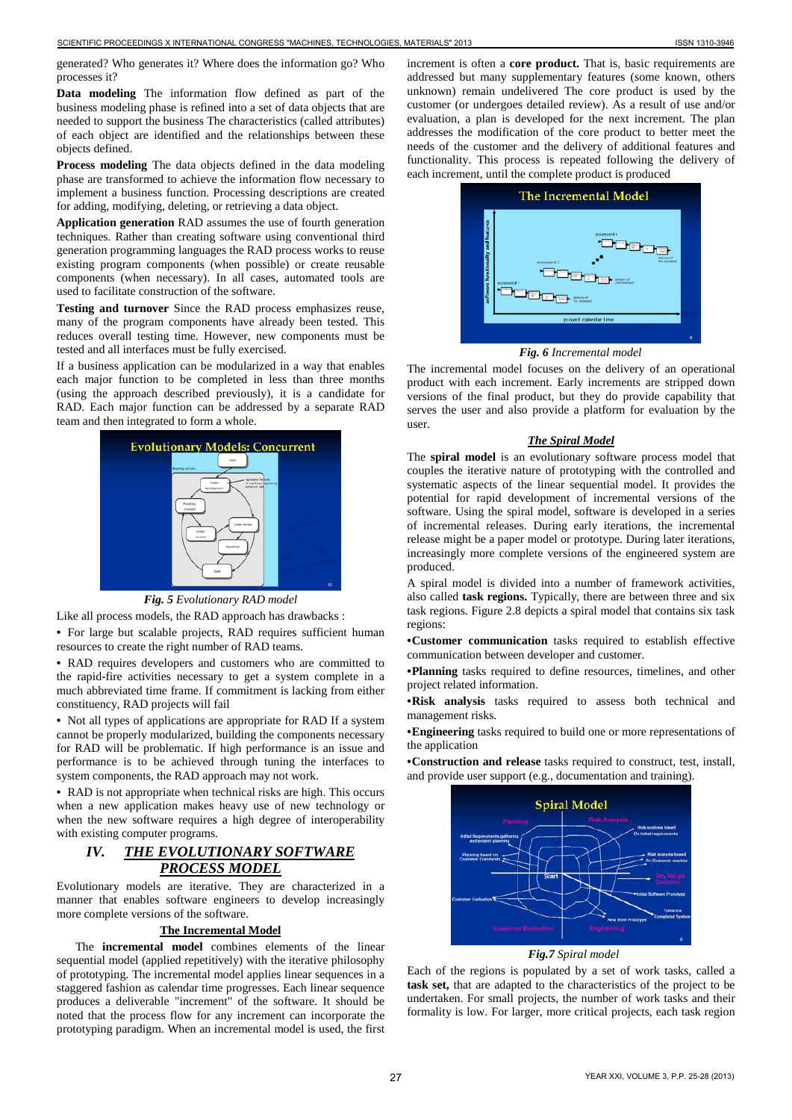generated? Who generates it? Where does the information go? Who processes it?

**Data modeling** The information flow defined as part of the business modeling phase is refined into a set of data objects that are needed to support the business The characteristics (called attributes) of each object are identified and the relationships between these objects defined.

**Process modeling** The data objects defined in the data modeling phase are transformed to achieve the information flow necessary to implement a business function. Processing descriptions are created for adding, modifying, deleting, or retrieving a data object.

**Application generation** RAD assumes the use of fourth generation techniques. Rather than creating software using conventional third generation programming languages the RAD process works to reuse existing program components (when possible) or create reusable components (when necessary). In all cases, automated tools are used to facilitate construction of the software.

**Testing and turnover** Since the RAD process emphasizes reuse, many of the program components have already been tested. This reduces overall testing time. However, new components must be tested and all interfaces must be fully exercised.

If a business application can be modularized in a way that enables each major function to be completed in less than three months (using the approach described previously), it is a candidate for RAD. Each major function can be addressed by a separate RAD team and then integrated to form a whole.



*Fig. 5 Evolutionary RAD model*

Like all process models, the RAD approach has drawbacks :

• For large but scalable projects, RAD requires sufficient human resources to create the right number of RAD teams.

• RAD requires developers and customers who are committed to the rapid-fire activities necessary to get a system complete in a much abbreviated time frame. If commitment is lacking from either constituency, RAD projects will fail

• Not all types of applications are appropriate for RAD If a system cannot be properly modularized, building the components necessary for RAD will be problematic. If high performance is an issue and performance is to be achieved through tuning the interfaces to system components, the RAD approach may not work.

• RAD is not appropriate when technical risks are high. This occurs when a new application makes heavy use of new technology or when the new software requires a high degree of interoperability with existing computer programs.

## *IV. THE EVOLUTIONARY SOFTWARE PROCESS MODEL*

Evolutionary models are iterative. They are characterized in a manner that enables software engineers to develop increasingly more complete versions of the software.

### **The Incremental Model**

The **incremental model** combines elements of the linear sequential model (applied repetitively) with the iterative philosophy of prototyping. The incremental model applies linear sequences in a staggered fashion as calendar time progresses. Each linear sequence produces a deliverable "increment" of the software. It should be noted that the process flow for any increment can incorporate the prototyping paradigm. When an incremental model is used, the first

increment is often a **core product.** That is, basic requirements are addressed but many supplementary features (some known, others unknown) remain undelivered The core product is used by the customer (or undergoes detailed review). As a result of use and/or evaluation, a plan is developed for the next increment. The plan addresses the modification of the core product to better meet the needs of the customer and the delivery of additional features and functionality. This process is repeated following the delivery of each increment, until the complete product is produced



*Fig. 6 Incremental model*

The incremental model focuses on the delivery of an operational product with each increment. Early increments are stripped down versions of the final product, but they do provide capability that serves the user and also provide a platform for evaluation by the user.

### *The Spiral Model*

The **spiral model** is an evolutionary software process model that couples the iterative nature of prototyping with the controlled and systematic aspects of the linear sequential model. It provides the potential for rapid development of incremental versions of the software. Using the spiral model, software is developed in a series of incremental releases. During early iterations, the incremental release might be a paper model or prototype. During later iterations, increasingly more complete versions of the engineered system are produced.

A spiral model is divided into a number of framework activities, also called **task regions.** Typically, there are between three and six task regions. Figure 2.8 depicts a spiral model that contains six task regions:

**•Customer communication** tasks required to establish effective communication between developer and customer.

**•Planning** tasks required to define resources, timelines, and other project related information.

**•Risk analysis** tasks required to assess both technical and management risks.

**•Engineering** tasks required to build one or more representations of the application

**•Construction and release** tasks required to construct, test, install, and provide user support (e.g., documentation and training).



*Fig.7 Spiral model*

Each of the regions is populated by a set of work tasks, called a **task set,** that are adapted to the characteristics of the project to be undertaken. For small projects, the number of work tasks and their formality is low. For larger, more critical projects, each task region